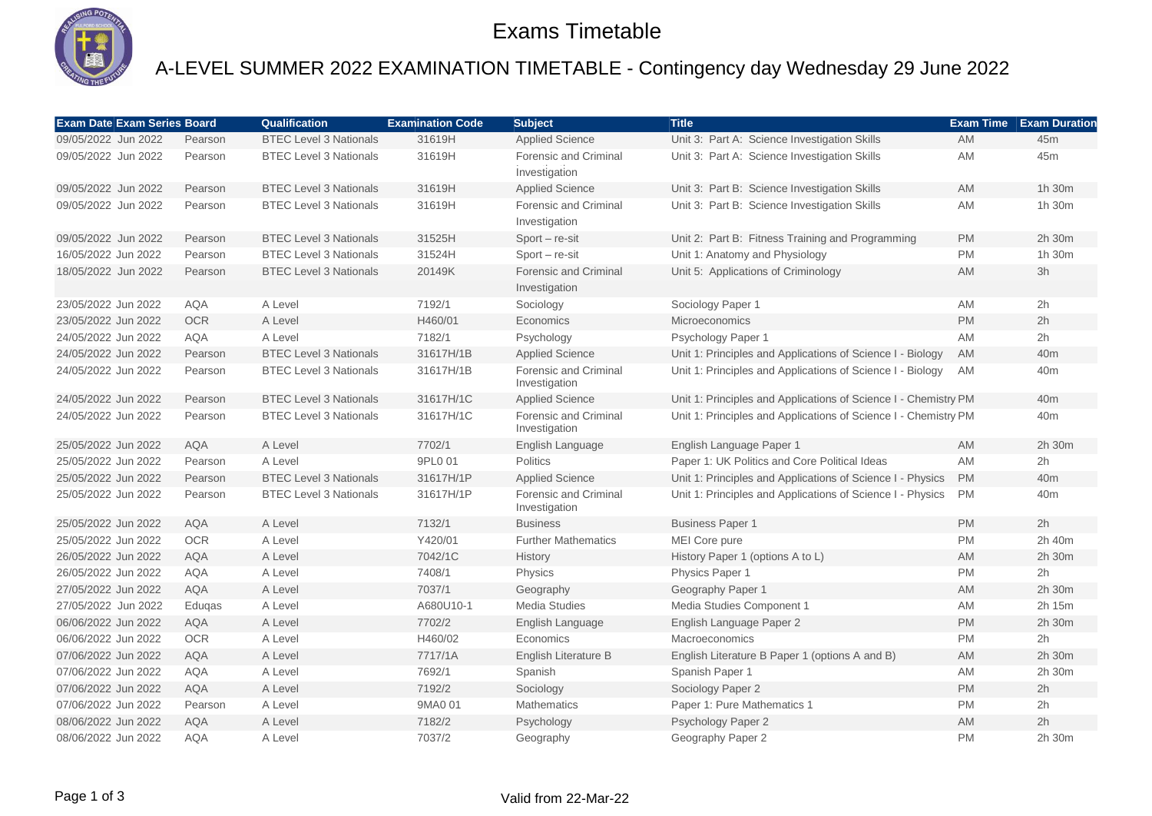

### Exams Timetable

# A-LEVEL SUMMER 2022 EXAMINATION TIMETABLE - Contingency day Wednesday 29 June 2022

| <b>Exam Date Exam Series Board</b> |            | <b>Qualification</b>          | <b>Examination Code</b> | <b>Subject</b>                                | <b>Title</b>                                                    | <b>Exam Time</b> | <b>Exam Duration</b> |
|------------------------------------|------------|-------------------------------|-------------------------|-----------------------------------------------|-----------------------------------------------------------------|------------------|----------------------|
| 09/05/2022 Jun 2022                | Pearson    | <b>BTEC Level 3 Nationals</b> | 31619H                  | <b>Applied Science</b>                        | Unit 3: Part A: Science Investigation Skills                    | <b>AM</b>        | 45m                  |
| 09/05/2022 Jun 2022                | Pearson    | <b>BTEC Level 3 Nationals</b> | 31619H                  | Forensic and Criminal<br>Investigation        | Unit 3: Part A: Science Investigation Skills                    | <b>AM</b>        | 45m                  |
| 09/05/2022 Jun 2022                | Pearson    | <b>BTEC Level 3 Nationals</b> | 31619H                  | <b>Applied Science</b>                        | Unit 3: Part B: Science Investigation Skills                    | AM               | 1h 30m               |
| 09/05/2022 Jun 2022                | Pearson    | <b>BTEC Level 3 Nationals</b> | 31619H                  | Forensic and Criminal<br>Investigation        | Unit 3: Part B: Science Investigation Skills                    | AM               | 1h 30m               |
| 09/05/2022 Jun 2022                | Pearson    | <b>BTEC Level 3 Nationals</b> | 31525H                  | Sport - re-sit                                | Unit 2: Part B: Fitness Training and Programming                | <b>PM</b>        | 2h 30m               |
| 16/05/2022 Jun 2022                | Pearson    | <b>BTEC Level 3 Nationals</b> | 31524H                  | $Sort - re-sit$                               | Unit 1: Anatomy and Physiology                                  | <b>PM</b>        | 1h 30m               |
| 18/05/2022 Jun 2022                | Pearson    | <b>BTEC Level 3 Nationals</b> | 20149K                  | <b>Forensic and Criminal</b><br>Investigation | Unit 5: Applications of Criminology                             | <b>AM</b>        | 3h                   |
| 23/05/2022 Jun 2022                | AQA        | A Level                       | 7192/1                  | Sociology                                     | Sociology Paper 1                                               | AM               | 2h                   |
| 23/05/2022 Jun 2022                | <b>OCR</b> | A Level                       | H460/01                 | Economics                                     | <b>Microeconomics</b>                                           | <b>PM</b>        | 2h                   |
| 24/05/2022 Jun 2022                | <b>AQA</b> | A Level                       | 7182/1                  | Psychology                                    | Psychology Paper 1                                              | AM               | 2h                   |
| 24/05/2022 Jun 2022                | Pearson    | <b>BTEC Level 3 Nationals</b> | 31617H/1B               | <b>Applied Science</b>                        | Unit 1: Principles and Applications of Science I - Biology      | <b>AM</b>        | 40 <sub>m</sub>      |
| 24/05/2022 Jun 2022                | Pearson    | <b>BTEC Level 3 Nationals</b> | 31617H/1B               | <b>Forensic and Criminal</b><br>Investigation | Unit 1: Principles and Applications of Science I - Biology      | <b>AM</b>        | 40 <sub>m</sub>      |
| 24/05/2022 Jun 2022                | Pearson    | <b>BTEC Level 3 Nationals</b> | 31617H/1C               | <b>Applied Science</b>                        | Unit 1: Principles and Applications of Science I - Chemistry PM |                  | 40 <sub>m</sub>      |
| 24/05/2022 Jun 2022                | Pearson    | <b>BTEC Level 3 Nationals</b> | 31617H/1C               | <b>Forensic and Criminal</b><br>Investigation | Unit 1: Principles and Applications of Science I - Chemistry PM |                  | 40 <sub>m</sub>      |
| 25/05/2022 Jun 2022                | <b>AQA</b> | A Level                       | 7702/1                  | English Language                              | English Language Paper 1                                        | <b>AM</b>        | 2h 30m               |
| 25/05/2022 Jun 2022                | Pearson    | A Level                       | 9PL0 01                 | <b>Politics</b>                               | Paper 1: UK Politics and Core Political Ideas                   | <b>AM</b>        | 2h                   |
| 25/05/2022 Jun 2022                | Pearson    | <b>BTEC Level 3 Nationals</b> | 31617H/1P               | <b>Applied Science</b>                        | Unit 1: Principles and Applications of Science I - Physics      | <b>PM</b>        | 40 <sub>m</sub>      |
| 25/05/2022 Jun 2022                | Pearson    | <b>BTEC Level 3 Nationals</b> | 31617H/1P               | <b>Forensic and Criminal</b><br>Investigation | Unit 1: Principles and Applications of Science I - Physics      | <b>PM</b>        | 40 <sub>m</sub>      |
| 25/05/2022 Jun 2022                | <b>AQA</b> | A Level                       | 7132/1                  | <b>Business</b>                               | <b>Business Paper 1</b>                                         | <b>PM</b>        | 2h                   |
| 25/05/2022 Jun 2022                | <b>OCR</b> | A Level                       | Y420/01                 | <b>Further Mathematics</b>                    | MEI Core pure                                                   | <b>PM</b>        | 2h 40m               |
| 26/05/2022 Jun 2022                | <b>AQA</b> | A Level                       | 7042/1C                 | History                                       | History Paper 1 (options A to L)                                | AM               | 2h 30m               |
| 26/05/2022 Jun 2022                | <b>AQA</b> | A Level                       | 7408/1                  | Physics                                       | Physics Paper 1                                                 | <b>PM</b>        | 2h                   |
| 27/05/2022 Jun 2022                | <b>AQA</b> | A Level                       | 7037/1                  | Geography                                     | Geography Paper 1                                               | AM               | 2h 30m               |
| 27/05/2022 Jun 2022                | Edugas     | A Level                       | A680U10-1               | <b>Media Studies</b>                          | Media Studies Component 1                                       | AM               | 2h 15m               |
| 06/06/2022 Jun 2022                | <b>AQA</b> | A Level                       | 7702/2                  | English Language                              | English Language Paper 2                                        | PM               | 2h 30m               |
| 06/06/2022 Jun 2022                | <b>OCR</b> | A Level                       | H460/02                 | Economics                                     | Macroeconomics                                                  | <b>PM</b>        | 2h                   |
| 07/06/2022 Jun 2022                | <b>AQA</b> | A Level                       | 7717/1A                 | English Literature B                          | English Literature B Paper 1 (options A and B)                  | AM               | 2h 30m               |
| 07/06/2022 Jun 2022                | <b>AQA</b> | A Level                       | 7692/1                  | Spanish                                       | Spanish Paper 1                                                 | <b>AM</b>        | 2h 30m               |
| 07/06/2022 Jun 2022                | <b>AQA</b> | A Level                       | 7192/2                  | Sociology                                     | Sociology Paper 2                                               | <b>PM</b>        | 2h                   |
| 07/06/2022 Jun 2022                | Pearson    | A Level                       | 9MA0 01                 | <b>Mathematics</b>                            | Paper 1: Pure Mathematics 1                                     | <b>PM</b>        | 2h                   |
| 08/06/2022 Jun 2022                | <b>AQA</b> | A Level                       | 7182/2                  | Psychology                                    | Psychology Paper 2                                              | AM               | 2h                   |
| 08/06/2022 Jun 2022                | <b>AQA</b> | A Level                       | 7037/2                  | Geography                                     | Geography Paper 2                                               | <b>PM</b>        | 2h 30m               |

#### Page 1 of 3 Valid from 22-Mar-22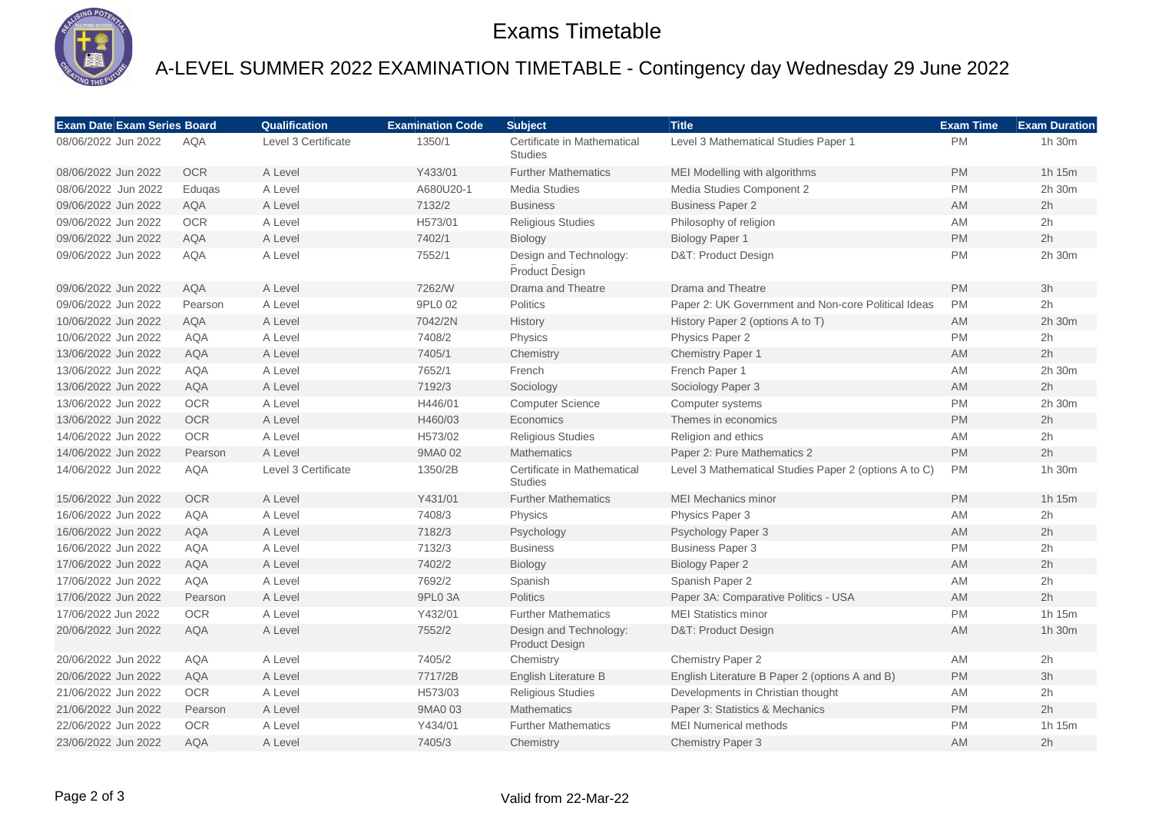

### Exams Timetable

## A-LEVEL SUMMER 2022 EXAMINATION TIMETABLE - Contingency day Wednesday 29 June 2022

| <b>Exam Date Exam Series Board</b> |            | Qualification       | <b>Examination Code</b> | <b>Subject</b>                                  | <b>Title</b>                                          | <b>Exam Time</b> | <b>Exam Duration</b> |
|------------------------------------|------------|---------------------|-------------------------|-------------------------------------------------|-------------------------------------------------------|------------------|----------------------|
| 08/06/2022 Jun 2022                | <b>AQA</b> | Level 3 Certificate | 1350/1                  | Certificate in Mathematical<br><b>Studies</b>   | Level 3 Mathematical Studies Paper 1                  | <b>PM</b>        | 1h 30m               |
| 08/06/2022 Jun 2022                | <b>OCR</b> | A Level             | Y433/01                 | <b>Further Mathematics</b>                      | MEI Modelling with algorithms                         | <b>PM</b>        | 1h 15m               |
| 08/06/2022 Jun 2022                | Edugas     | A Level             | A680U20-1               | <b>Media Studies</b>                            | Media Studies Component 2                             | PM               | 2h 30m               |
| 09/06/2022 Jun 2022                | <b>AQA</b> | A Level             | 7132/2                  | <b>Business</b>                                 | <b>Business Paper 2</b>                               | AM               | 2h                   |
| 09/06/2022 Jun 2022                | <b>OCR</b> | A Level             | H573/01                 | <b>Religious Studies</b>                        | Philosophy of religion                                | AM               | 2h                   |
| 09/06/2022 Jun 2022                | <b>AQA</b> | A Level             | 7402/1                  | Biology                                         | <b>Biology Paper 1</b>                                | PM               | 2h                   |
| 09/06/2022 Jun 2022                | <b>AQA</b> | A Level             | 7552/1                  | Design and Technology:<br>Product Design        | D&T: Product Design                                   | PM               | 2h 30m               |
| 09/06/2022 Jun 2022                | <b>AQA</b> | A Level             | 7262/W                  | Drama and Theatre                               | Drama and Theatre                                     | <b>PM</b>        | 3h                   |
| 09/06/2022 Jun 2022                | Pearson    | A Level             | 9PL0 02                 | <b>Politics</b>                                 | Paper 2: UK Government and Non-core Political Ideas   | <b>PM</b>        | 2h                   |
| 10/06/2022 Jun 2022                | <b>AQA</b> | A Level             | 7042/2N                 | History                                         | History Paper 2 (options A to T)                      | <b>AM</b>        | 2h 30m               |
| 10/06/2022 Jun 2022                | <b>AQA</b> | A Level             | 7408/2                  | Physics                                         | Physics Paper 2                                       | PM               | 2h                   |
| 13/06/2022 Jun 2022                | <b>AQA</b> | A Level             | 7405/1                  | Chemistry                                       | Chemistry Paper 1                                     | AM               | 2h                   |
| 13/06/2022 Jun 2022                | <b>AQA</b> | A Level             | 7652/1                  | French                                          | French Paper 1                                        | AM               | 2h 30m               |
| 13/06/2022 Jun 2022                | <b>AQA</b> | A Level             | 7192/3                  | Sociology                                       | Sociology Paper 3                                     | AM               | 2h                   |
| 13/06/2022 Jun 2022                | <b>OCR</b> | A Level             | H446/01                 | <b>Computer Science</b>                         | Computer systems                                      | PM               | 2h 30m               |
| 13/06/2022 Jun 2022                | <b>OCR</b> | A Level             | H460/03                 | Economics                                       | Themes in economics                                   | <b>PM</b>        | 2h                   |
| 14/06/2022 Jun 2022                | <b>OCR</b> | A Level             | H573/02                 | <b>Religious Studies</b>                        | Religion and ethics                                   | AM               | 2h                   |
| 14/06/2022 Jun 2022                | Pearson    | A Level             | 9MA0 02                 | <b>Mathematics</b>                              | Paper 2: Pure Mathematics 2                           | PM               | 2h                   |
| 14/06/2022 Jun 2022                | <b>AQA</b> | Level 3 Certificate | 1350/2B                 | Certificate in Mathematical<br><b>Studies</b>   | Level 3 Mathematical Studies Paper 2 (options A to C) | <b>PM</b>        | 1h 30m               |
| 15/06/2022 Jun 2022                | <b>OCR</b> | A Level             | Y431/01                 | <b>Further Mathematics</b>                      | <b>MEI Mechanics minor</b>                            | <b>PM</b>        | 1h 15m               |
| 16/06/2022 Jun 2022                | <b>AQA</b> | A Level             | 7408/3                  | <b>Physics</b>                                  | Physics Paper 3                                       | AM               | 2h                   |
| 16/06/2022 Jun 2022                | <b>AQA</b> | A Level             | 7182/3                  | Psychology                                      | Psychology Paper 3                                    | AM               | 2h                   |
| 16/06/2022 Jun 2022                | <b>AQA</b> | A Level             | 7132/3                  | <b>Business</b>                                 | <b>Business Paper 3</b>                               | <b>PM</b>        | 2h                   |
| 17/06/2022 Jun 2022                | <b>AQA</b> | A Level             | 7402/2                  | Biology                                         | <b>Biology Paper 2</b>                                | AM               | 2h                   |
| 17/06/2022 Jun 2022                | <b>AQA</b> | A Level             | 7692/2                  | Spanish                                         | Spanish Paper 2                                       | AM               | 2h                   |
| 17/06/2022 Jun 2022                | Pearson    | A Level             | 9PL0 3A                 | Politics                                        | Paper 3A: Comparative Politics - USA                  | AM               | 2h                   |
| 17/06/2022 Jun 2022                | OCR        | A Level             | Y432/01                 | <b>Further Mathematics</b>                      | <b>MEI Statistics minor</b>                           | PM               | 1h 15m               |
| 20/06/2022 Jun 2022                | <b>AQA</b> | A Level             | 7552/2                  | Design and Technology:<br><b>Product Design</b> | D&T: Product Design                                   | <b>AM</b>        | 1h 30m               |
| 20/06/2022 Jun 2022                | AQA        | A Level             | 7405/2                  | Chemistry                                       | <b>Chemistry Paper 2</b>                              | AM               | 2h                   |
| 20/06/2022 Jun 2022                | <b>AQA</b> | A Level             | 7717/2B                 | English Literature B                            | English Literature B Paper 2 (options A and B)        | <b>PM</b>        | 3h                   |
| 21/06/2022 Jun 2022                | <b>OCR</b> | A Level             | H573/03                 | <b>Religious Studies</b>                        | Developments in Christian thought                     | AM               | 2h                   |
| 21/06/2022 Jun 2022                | Pearson    | A Level             | 9MA0 03                 | <b>Mathematics</b>                              | Paper 3: Statistics & Mechanics                       | <b>PM</b>        | 2h                   |
| 22/06/2022 Jun 2022                | OCR        | A Level             | Y434/01                 | <b>Further Mathematics</b>                      | <b>MEI Numerical methods</b>                          | PM               | 1h 15m               |
| 23/06/2022 Jun 2022                | <b>AQA</b> | A Level             | 7405/3                  | Chemistry                                       | Chemistry Paper 3                                     | AM               | 2h                   |

#### Page 2 of 3 Valid from 22-Mar-22